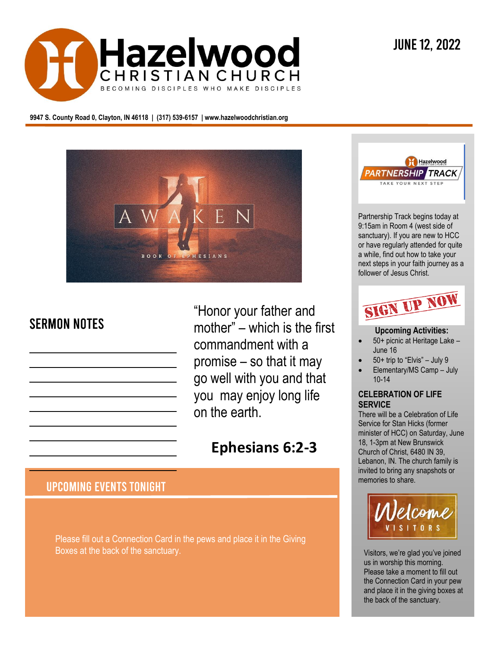

**9947 S. County Road 0, Clayton, IN 46118 | (317) 539-6157 | www.hazelwoodchristian.org**



# **SERMON NOTES**

"Honor your father and mother" – which is the first commandment with a promise – so that it may go well with you and that you may enjoy long life on the earth.

# **Ephesians 6:2-3**

# **UPCOMING EVENTS TONIGHT**

Please fill out a Connection Card in the pews and place it in the Giving Boxes at the back of the sanctuary.



Partnership Track begins today at 9:15am in Room 4 (west side of sanctuary). If you are new to HCC or have regularly attended for quite a while, find out how to take your next steps in your faith journey as a follower of Jesus Christ.



## **Upcoming Activities:**

- 50+ picnic at Heritage Lake June 16
- 50+ trip to "Elvis" July 9
- Elementary/MS Camp July 10-14

#### **CELEBRATION OF LIFE SERVICE**

There will be a Celebration of Life Service for Stan Hicks (former minister of HCC) on Saturday, June 18, 1-3pm at New Brunswick Church of Christ, 6480 IN 39, Lebanon, IN. The church family is invited to bring any snapshots or memories to share.



Visitors, we're glad you've joined us in worship this morning. Please take a moment to fill out the Connection Card in your pew and place it in the giving boxes at the back of the sanctuary.